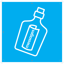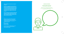**Hello everybody and welcome to our book of messages!** 

**And here's a message from me, the writer of the book Ian McMillan and the illustrator Glenn Thornley: Enjoy this book and feel free to write in it, draw in it, respond to the work in any way you want. The book is all about different kinds of messages, the ones that surround us every day and ones that we might not come across too often.**

**There are puzzles to solve, pieces of writing and artwork to complete and lots of spaces for you to fill with your own creations. Here's an idea: make a message and hide it somewhere in the book and see if we can find it…**

We'd love it if you want to share any poems, drawings and stories you've created when using this book. Please tag us on social media using the details below or e-mail Amy at amy@thepoint.org.uk

 $\overline{\text{a}}$  @wearedarts f @wearedarts **3** @we\_aredarts

Or have a look at our website where you can find more activities to get involved with: www.wearedarts.org.uk



#### **SPEAKING BACKWARDS**

#### **Siht edoc si yllaer ysae ot kcarc; nac ouy kniht fo a redrah eno?**

Why don't you try writing some backwards sentences in the speech bubble below...then try your best to say them out loud!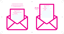

 $\circledast$ 

| Dear Tomorrow, |  |
|----------------|--|
| This is        |  |
| Did            |  |
| r find the ?   |  |
| Did            |  |
| win the ?      |  |
|                |  |
|                |  |
|                |  |
|                |  |
|                |  |
|                |  |
|                |  |
|                |  |
|                |  |

◈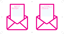

 $D\epsilon$ Did the ..... Did you On your ov . . . . . . . . . . . . . . . . . . . . . . . . . . . . . . . . . . . . . . . . . . . . . . . . . . . . . .

. . . . . . . . . . . . . . . . . . . . . . . . . . . . . . . . . . . . . . . . . . . . . . . . . . . . . . . . . . . . . . . . . . . . . . . . .



 $\bigcirc$ 

◈

| Dear Next Year,          |  |
|--------------------------|--|
| id the  ever get built?  |  |
| Did you learn to         |  |
| <br>On your own, or with |  |
|                          |  |
|                          |  |
|                          |  |
|                          |  |
|                          |  |
|                          |  |
|                          |  |
|                          |  |
|                          |  |

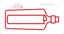## **MESSAGE IN A BOTTLE**

I got a message in a bottle. It said: **MILK** I got a message in a bottle. It said: **POP** I got a message in a bottle. It said: **EMPTY** I got a message in a bottle It said: **SMASHED**



 $\bigoplus$ 

 $\circledast$ 

Try writing your own message on the paper below. Who would you write to? What would you say?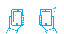## **EMOJI POEM**



 $\bigcirc$ 



 $\bigoplus$ 

 $\circledast$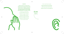## **TELEPHONE**

Imagine somebody's shouting through to somebody in the next room but they can't quite hear each other; the resulting mishearings are sometimes known as 'Telephone' and the most famous example is a phrase from the Second World War that began **'Send reinforcements, we're going to advance'** and became **'Send Three and Fourpence, we're going to a dance'.** 

> I've made one up and then there are a few examples to start you off:

**I found your car keys on the drive ↓ I found your car keys in the hive ↓ I frowned: your car keys in the hive? ↓ I frowned: You're khaki in the hive?**

I reckon the dafter the better!

- Here's a couple to get you going:
- **Bring me that banana from the kitchen**
- **Charlie says he's got a brand new hat**
- **My dog ran into the river and caught a fish**



◈



 $\bigoplus$ 

 $\bigcirc$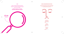## **HEADS, SHOULDERS KNEES AND FACES**

Thumbs up Thumbs down Lifted eyebrow Deep ..................

Here's a poem about non-verbal communication for you to complete. Here's a clue: the second line rhymes with the fourth line!



 $\bigoplus$ 

Big grin Quick blink Raised hand Slow ..................

Wide smile **Salute** Brisk nod Whistle ..................

## **CODE**

Here's a rhyming message about Creative Directions in code. Once you've worked out how it works you could write a message in the code. Here's a clue: it rhymes!

## **DSFBUWF EJSFDJPOT JT UIF QMBDF UIBU TJOHT B TNJMF BDSPTT ZPVS GBDF**

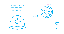#### **DONCASTER RHYMING SLANG**

Rhyming slang is fantastically inventive language, like Apples and Pears for stairs, and Currant Bun for sun, and it's even more inventive if you just say the first word: 'The Currant was shining even when I went up the Apples'. So here's a few Doncaster Rhyming Slang phrases, using just the first word: see if you can guess what they are, then have a go at making up your own:

#### **I live near the Church in Inspector George Gently → Bentley**

 $\bigcirc$ 



## **I like going to Jam Tarts → Darts**



ď IЭ

◈



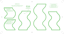

How about shopping lists for Humpty Dumpty? A washer-up in a café? The shepherds in the Nativity story? A marathon runner?



 $\bigcirc$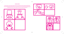## **CARTOON STRIPS**

Now it's time for a comic strip! I love the way that comic strips work, often in three panels with the joke or the meaning in the last image. Glenn and I have created three comic strips here and we'd like you to have a go at drawing the last panel. There can be words in it or not, of course, and the drawing can be in any style you like. Have a go! We might be making the new Dennis the Menace!



| D<br>$\bullet$<br>$\bullet$ |  |
|-----------------------------|--|
|                             |  |

 $\bigoplus$ 





 $\bigcirc$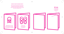#### **BIRTHDAY CARDS FOR INANIMATE OBJECTS**

There's a gap in the market here, darts reckons; we always send birthday cards to people, but nobody every sends a birthday card to a thing! Here's a few to get you going, and then you could have a go at making your own.





Write or draw your own birthday cards for the things you love here